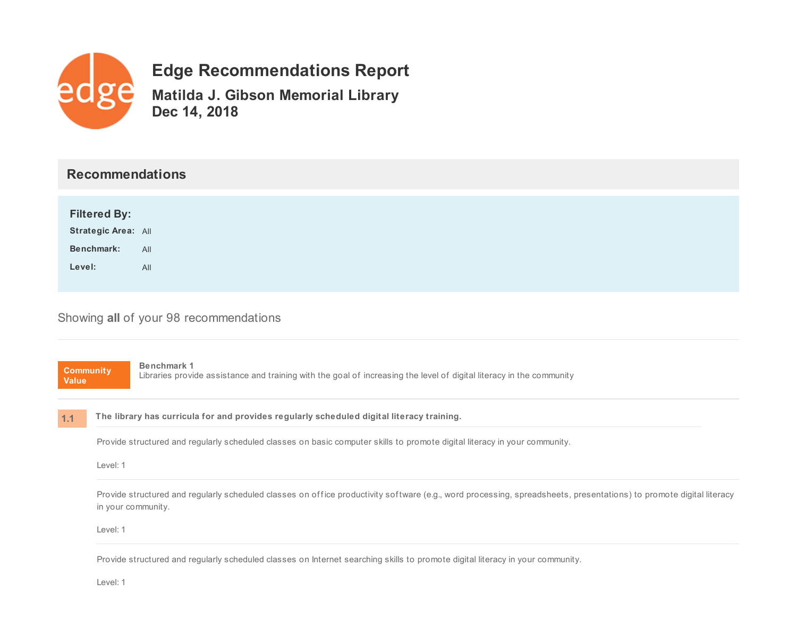

# **Edge Recommendations Report**

**Matilda J. Gibson Memorial Library Dec 14, 2018**

# **Recommendations**

| <b>Filtered By:</b>        |     |
|----------------------------|-----|
| <b>Strategic Area: All</b> |     |
| Benchmark:                 | All |
| Level:                     | All |
|                            |     |

## Showing **all** of your 98 recommendations

**Community Value 1.1 Benchmark 1** Libraries provide assistance and training with the goal of increasing the level of digital literacy in the community **The library has curricula for and provides regularly scheduled digital literacy training.** Provide structured and regularly scheduled classes on basic computer skills to promote digital literacy in your community. Level: 1 Provide structured and regularly scheduled classes on office productivity software (e.g., word processing, spreadsheets, presentations) to promote digital literacy in your community. Level: 1

Provide structured and regularly scheduled classes on Internet searching skills to promote digital literacy in your community.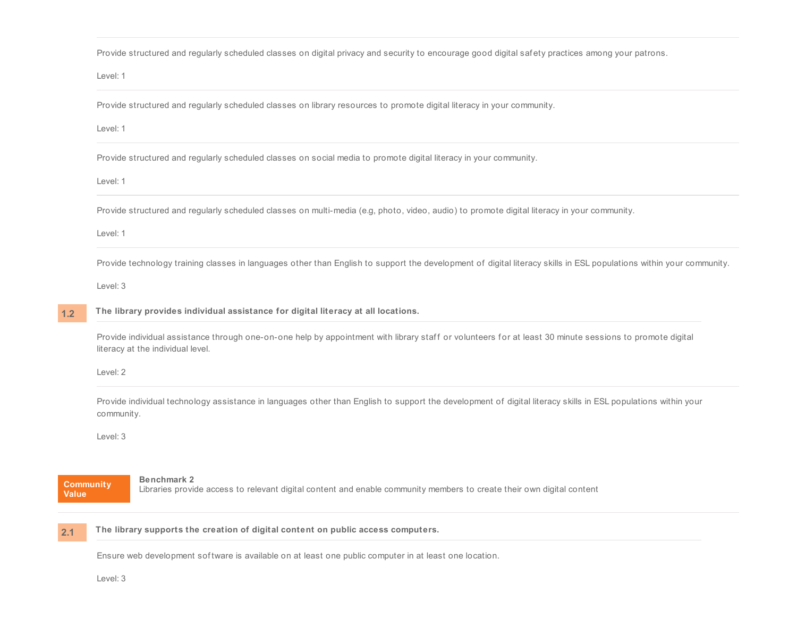Provide structured and regularly scheduled classes on digital privacy and security to encourage good digital safety practices among your patrons.

Level: 1

Provide structured and regularly scheduled classes on library resources to promote digital literacy in your community.

Level: 1

Provide structured and regularly scheduled classes on social media to promote digital literacy in your community.

Level: 1

Provide structured and regularly scheduled classes on multi-media (e.g, photo, video, audio) to promote digital literacy in your community.

Level: 1

Provide technology training classes in languages other than English to support the development of digital literacy skills in ESL populations within your community.

Level: 3

#### **1.2 The library provides individual assistance for digital literacy at all locations.**

Provide individual assistance through one-on-one help by appointment with library staff or volunteers for at least 30 minute sessions to promote digital literacy at the individual level.

Level: 2

Provide individual technology assistance in languages other than English to support the development of digital literacy skills in ESL populations within your community.

Level: 3

### **Community Value**

**Benchmark 2** Libraries provide access to relevant digital content and enable community members to create their own digital content

#### **2.1 The library supports the creation of digital content on public access computers.**

Ensure web development sof tware is available on at least one public computer in at least one location.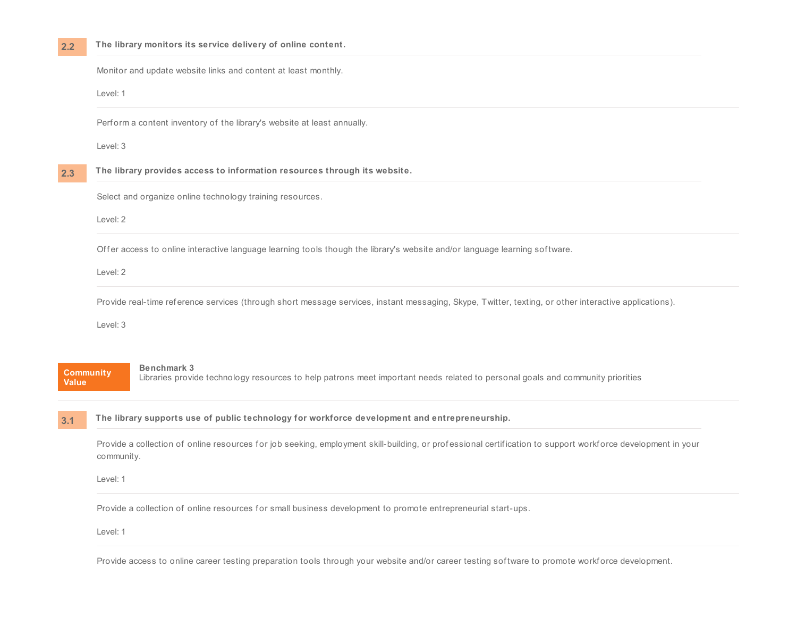Monitor and update website links and content at least monthly.

Level: 1

Perform a content inventory of the library's website at least annually.

Level: 3

**2.3 The library provides access to information resources through its website.**

Select and organize online technology training resources.

Level: 2

Offer access to online interactive language learning tools though the library's website and/or language learning software.

Level: 2

Provide real-time reference services (through short message services, instant messaging, Skype, Twitter, texting, or other interactive applications).

Level: 3

### **Community Value**

**3.1**

#### **Benchmark 3**

Libraries provide technology resources to help patrons meet important needs related to personal goals and community priorities

**The library supports use of public technology for workforce development and entrepreneurship.**

Provide a collection of online resources for job seeking, employment skill-building, or professional certification to support workforce development in your community.

Level: 1

Provide a collection of online resources for small business development to promote entrepreneurial start-ups.

Level: 1

Provide access to online career testing preparation tools through your website and/or career testing software to promote workf orce development.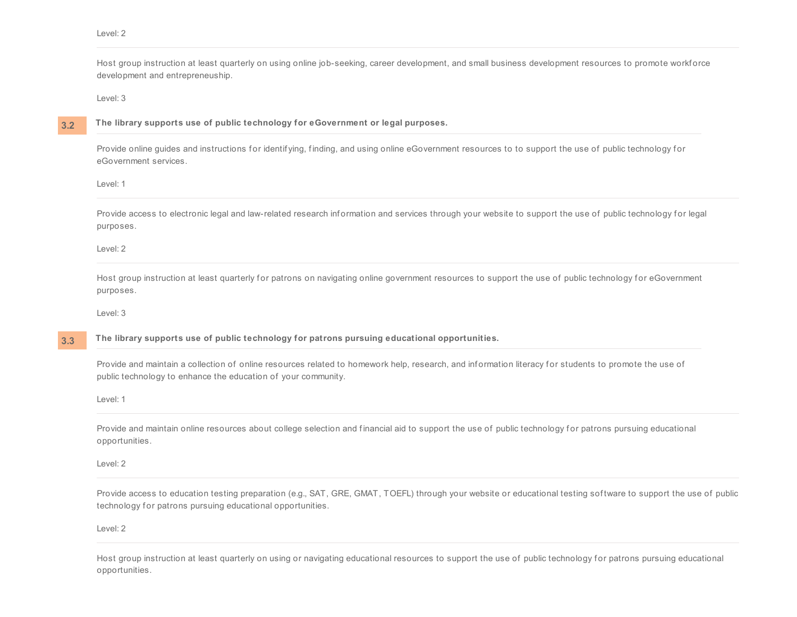Host group instruction at least quarterly on using online job-seeking, career development, and small business development resources to promote workf orce development and entrepreneuship.

Level: 3

### **3.2**

### **The library supports use of public technology for eGovernment or legal purposes.**

Provide online guides and instructions for identifying, finding, and using online eGovernment resources to to support the use of public technology for eGovernment services.

Level: 1

Provide access to electronic legal and law-related research information and services through your website to support the use of public technology for legal purposes.

Level: 2

Host group instruction at least quarterly for patrons on navigating online government resources to support the use of public technology for eGovernment purposes.

Level: 3

#### **3.3 The library supports use of public technology for patrons pursuing educational opportunities.**

Provide and maintain a collection of online resources related to homework help, research, and information literacy for students to promote the use of public technology to enhance the education of your community.

Level: 1

Provide and maintain online resources about college selection and financial aid to support the use of public technology for patrons pursuing educational opportunities.

Level: 2

Provide access to education testing preparation (e.g., SAT, GRE, GMAT, TOEFL) through your website or educational testing software to support the use of public technology for patrons pursuing educational opportunities.

Level: 2

Host group instruction at least quarterly on using or navigating educational resources to support the use of public technology for patrons pursuing educational opportunities.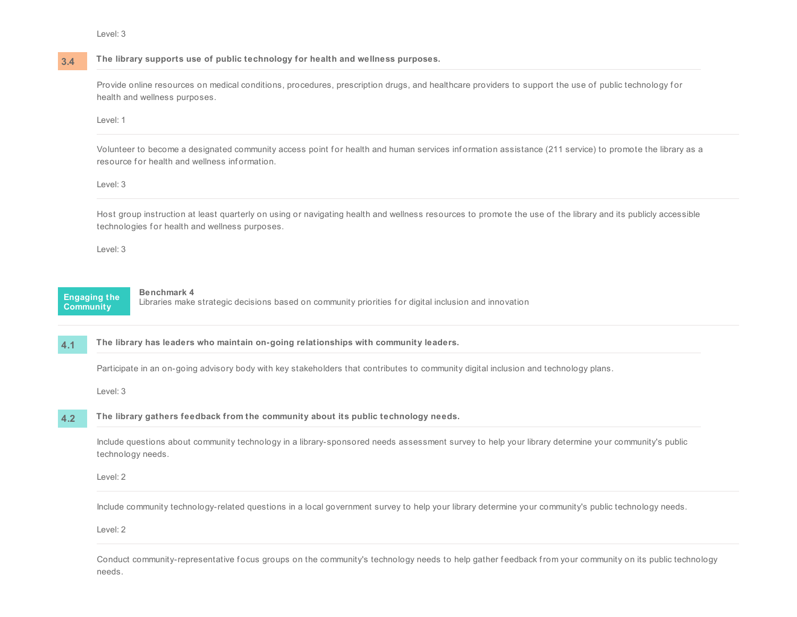**3.4**

### **The library supports use of public technology for health and wellness purposes.**

Provide online resources on medical conditions, procedures, prescription drugs, and healthcare providers to support the use of public technology for health and wellness purposes.

#### Level: 1

Volunteer to become a designated community access point for health and human services information assistance (211 service) to promote the library as a resource for health and wellness information.

### Level: 3

Host group instruction at least quarterly on using or navigating health and wellness resources to promote the use of the library and its publicly accessible technologies for health and wellness purposes.

Level: 3



### **Benchmark 4**

Libraries make strategic decisions based on community priorities for digital inclusion and innovation

**4.1 The library has leaders who maintain on-going relationships with community leaders.**

Participate in an on-going advisory body with key stakeholders that contributes to community digital inclusion and technology plans.

Level: 3

#### **4.2 The library gathers feedback from the community about its public technology needs.**

Include questions about community technology in a library-sponsored needs assessment survey to help your library determine your community's public technology needs.

Level: 2

Include community technology-related questions in a local government survey to help your library determine your community's public technology needs.

Level: 2

Conduct community-representative focus groups on the community's technology needs to help gather feedback from your community on its public technology needs.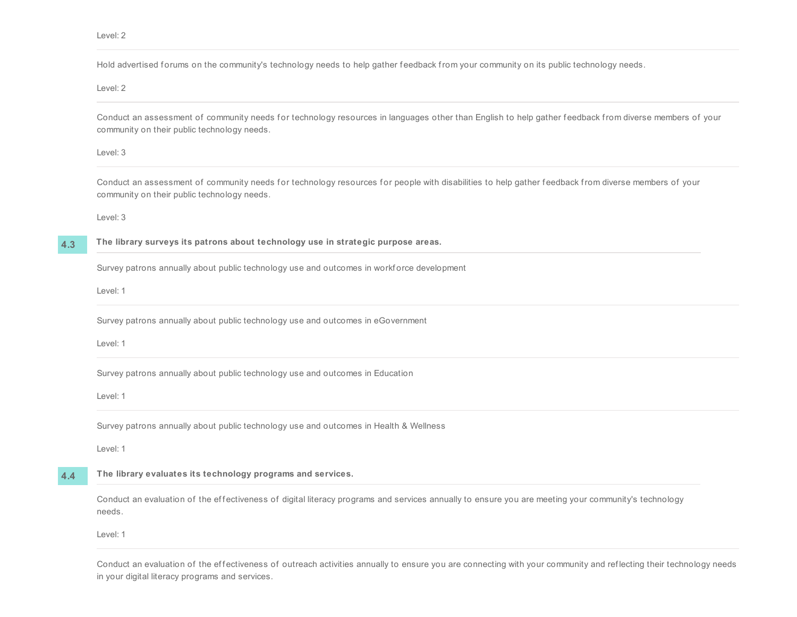Hold advertised forums on the community's technology needs to help gather feedback from your community on its public technology needs.

Level: 2

Conduct an assessment of community needs for technology resources in languages other than English to help gather feedback from diverse members of your community on their public technology needs.

Level: 3

Conduct an assessment of community needs for technology resources for people with disabilities to help gather feedback from diverse members of your community on their public technology needs.

Level: 3

**4.3**

**The library surveys its patrons about technology use in strategic purpose areas.**

Survey patrons annually about public technology use and outcomes in workforce development

Level: 1

Survey patrons annually about public technology use and outcomes in eGovernment

Level: 1

Survey patrons annually about public technology use and outcomes in Education

Level: 1

Survey patrons annually about public technology use and outcomes in Health & Wellness

Level: 1

**4.4 The library evaluates its technology programs and services.**

> Conduct an evaluation of the effectiveness of digital literacy programs and services annually to ensure you are meeting your community's technology needs.

Level: 1

Conduct an evaluation of the effectiveness of outreach activities annually to ensure you are connecting with your community and reflecting their technology needs in your digital literacy programs and services.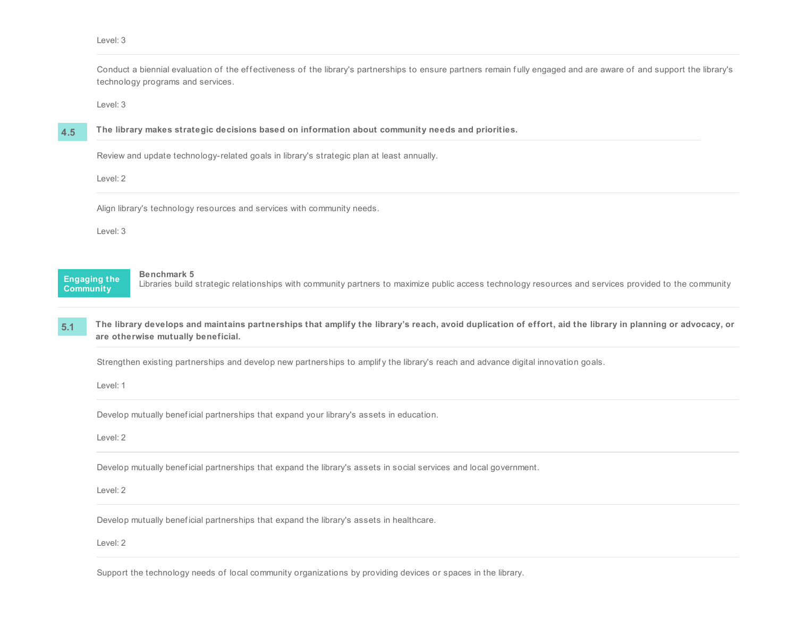Conduct a biennial evaluation of the effectiveness of the library's partnerships to ensure partners remain fully engaged and are aware of and support the library's technology programs and services.

Level: 3

**4.5**

**The library makes strategic decisions based on information about community needs and priorities.**

Review and update technology-related goals in library's strategic plan at least annually.

Level: 2

Align library's technology resources and services with community needs.

Level: 3

**Engaging the Community**

**Benchmark 5**

Libraries build strategic relationships with community partners to maximize public access technology resources and services provided to the community

**5.1** The library develops and maintains partnerships that amplify the library's reach, avoid duplication of effort, aid the library in planning or advocacy, or **are otherwise mutually beneficial.**

Strengthen existing partnerships and develop new partnerships to amplify the library's reach and advance digital innovation goals.

Level: 1

Develop mutually beneficial partnerships that expand your library's assets in education.

Level: 2

Develop mutually benef icial partnerships that expand the library's assets in social services and local government.

Level: 2

Develop mutually beneficial partnerships that expand the library's assets in healthcare.

Level: 2

Support the technology needs of local community organizations by providing devices or spaces in the library.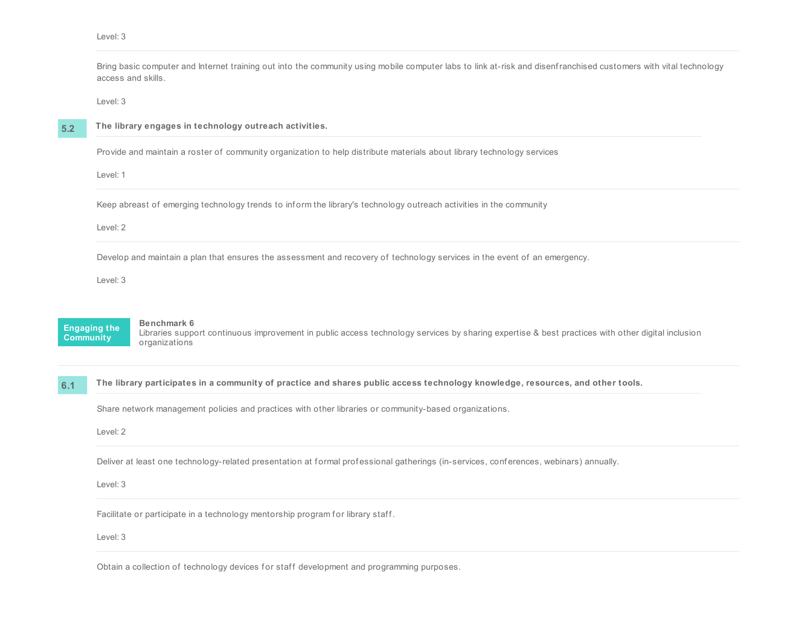|                  | access and skills.  | Bring basic computer and Internet training out into the community using mobile computer labs to link at-risk and disenfranchised customers with vital technology                 |
|------------------|---------------------|----------------------------------------------------------------------------------------------------------------------------------------------------------------------------------|
|                  | Level: 3            |                                                                                                                                                                                  |
| 5.2              |                     | The library engages in technology outreach activities.                                                                                                                           |
|                  |                     | Provide and maintain a roster of community organization to help distribute materials about library technology services                                                           |
|                  | Level: 1            |                                                                                                                                                                                  |
|                  | Level: 2            | Keep abreast of emerging technology trends to inform the library's technology outreach activities in the community                                                               |
|                  | Level: 3            | Develop and maintain a plan that ensures the assessment and recovery of technology services in the event of an emergency.                                                        |
| <b>Community</b> | <b>Engaging the</b> | Benchmark 6<br>Libraries support continuous improvement in public access technology services by sharing expertise & best practices with other digital inclusion<br>organizations |
| 6.1              |                     | The library participates in a community of practice and shares public access technology knowledge, resources, and other tools.                                                   |
|                  |                     | Share network management policies and practices with other libraries or community-based organizations.                                                                           |
|                  | Level: 2            |                                                                                                                                                                                  |
|                  |                     | Deliver at least one technology-related presentation at formal professional gatherings (in-services, conferences, webinars) annually.                                            |
|                  | Level: 3            |                                                                                                                                                                                  |
|                  |                     | Facilitate or participate in a technology mentorship program for library staff.                                                                                                  |
|                  | Level: 3            |                                                                                                                                                                                  |
|                  |                     |                                                                                                                                                                                  |

Obtain a collection of technology devices for staff development and programming purposes.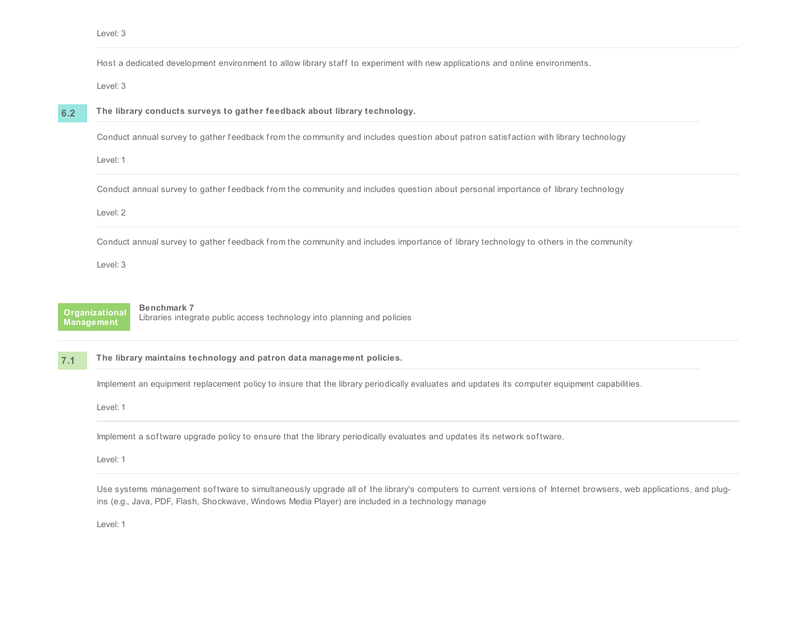Host a dedicated development environment to allow library staff to experiment with new applications and online environments.

Level: 3

**6.2**

### **The library conducts surveys to gather feedback about library technology.**

Conduct annual survey to gather feedback from the community and includes question about patron satisfaction with library technology

Level: 1

Conduct annual survey to gather feedback from the community and includes question about personal importance of library technology

Level: 2

Conduct annual survey to gather feedback from the community and includes importance of library technology to others in the community

Level: 3

**Organizational Management**

### **Benchmark 7**

Libraries integrate public access technology into planning and policies

#### **7.1 The library maintains technology and patron data management policies.**

Implement an equipment replacement policy to insure that the library periodically evaluates and updates its computer equipment capabilities.

Level: 1

Implement a sof tware upgrade policy to ensure that the library periodically evaluates and updates its network sof tware.

Level: 1

Use systems management sof tware to simultaneously upgrade all of the library's computers to current versions of Internet browsers, web applications, and plugins (e.g., Java, PDF, Flash, Shockwave, Windows Media Player) are included in a technology manage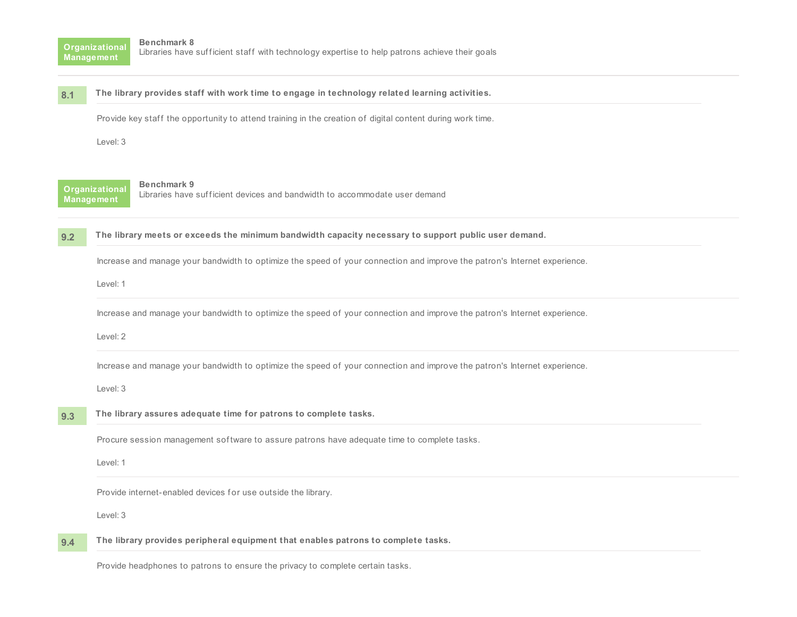**Organizational Management**

#### **8.1 The library provides staff with work time to engage in technology related learning activities.**

Provide key staff the opportunity to attend training in the creation of digital content during work time.

Level: 3

**Organizational Management**

#### **Benchmark 9**

Libraries have sufficient devices and bandwidth to accommodate user demand

**9.2 The library meets or exceeds the minimum bandwidth capacity necessary to support public user demand.**

Increase and manage your bandwidth to optimize the speed of your connection and improve the patron's Internet experience.

Level: 1

Increase and manage your bandwidth to optimize the speed of your connection and improve the patron's Internet experience.

Level: 2

Increase and manage your bandwidth to optimize the speed of your connection and improve the patron's Internet experience.

Level: 3

#### **9.3 The library assures adequate time for patrons to complete tasks.**

Procure session management software to assure patrons have adequate time to complete tasks.

Level: 1

Provide internet-enabled devices for use outside the library.

Level: 3

#### **9.4 The library provides peripheral equipment that enables patrons to complete tasks.**

Provide headphones to patrons to ensure the privacy to complete certain tasks.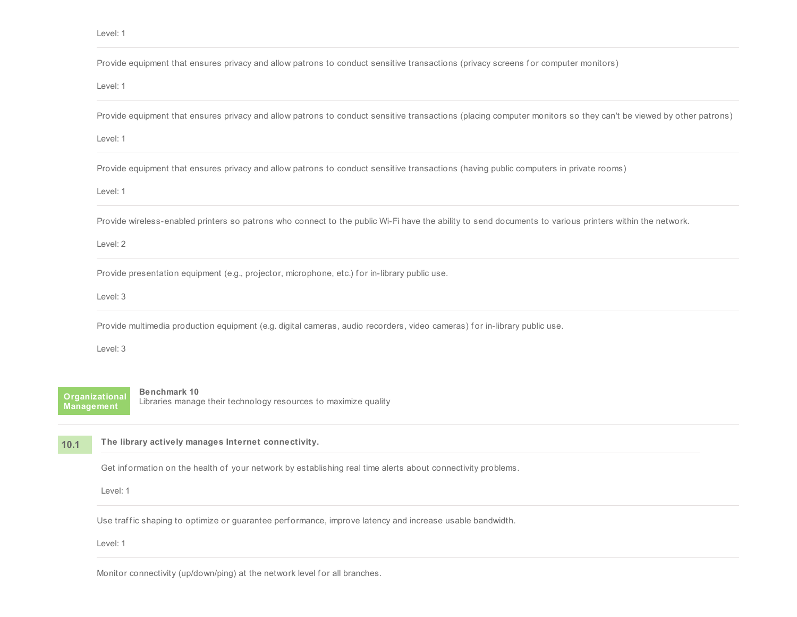|      | Provide equipment that ensures privacy and allow patrons to conduct sensitive transactions (privacy screens for computer monitors)                              |
|------|-----------------------------------------------------------------------------------------------------------------------------------------------------------------|
|      | Level: 1                                                                                                                                                        |
|      | Provide equipment that ensures privacy and allow patrons to conduct sensitive transactions (placing computer monitors so they can't be viewed by other patrons) |
|      | Level: 1                                                                                                                                                        |
|      | Provide equipment that ensures privacy and allow patrons to conduct sensitive transactions (having public computers in private rooms)                           |
|      | Level: 1                                                                                                                                                        |
|      | Provide wireless-enabled printers so patrons who connect to the public Wi-Fi have the ability to send documents to various printers within the network.         |
|      | Level: 2                                                                                                                                                        |
|      | Provide presentation equipment (e.g., projector, microphone, etc.) for in-library public use.                                                                   |
|      | Level: 3                                                                                                                                                        |
|      | Provide multimedia production equipment (e.g. digital cameras, audio recorders, video cameras) for in-library public use.                                       |
|      | Level: 3                                                                                                                                                        |
|      | Benchmark 10<br><b>Organizational</b><br>Libraries manage their technology resources to maximize quality<br><b>Management</b>                                   |
| 10.1 | The library actively manages Internet connectivity.                                                                                                             |
|      | Get information on the health of your network by establishing real time alerts about connectivity problems.                                                     |
|      | Level: 1                                                                                                                                                        |

Use traffic shaping to optimize or guarantee performance, improve latency and increase usable bandwidth.

Level: 1

Monitor connectivity (up/down/ping) at the network level for all branches.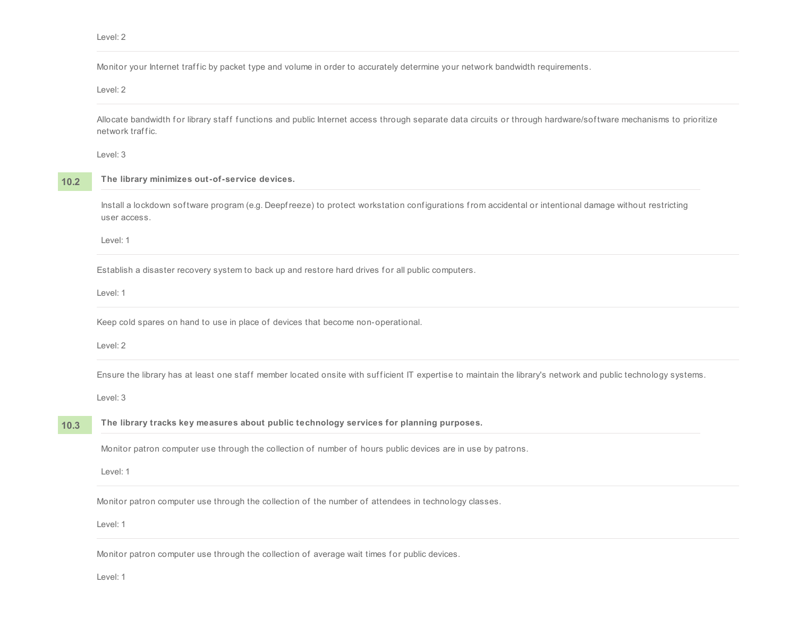Monitor your Internet traffic by packet type and volume in order to accurately determine your network bandwidth requirements.

Level: 2

Allocate bandwidth for library staff functions and public Internet access through separate data circuits or through hardware/software mechanisms to prioritize network traffic.

Level: 3

**10.2 The library minimizes out-of-service devices.**

> Install a lockdown sof tware program (e.g. Deepfreeze) to protect workstation conf igurations from accidental or intentional damage without restricting user access.

Level: 1

Establish a disaster recovery system to back up and restore hard drives for all public computers.

Level: 1

Keep cold spares on hand to use in place of devices that become non-operational.

Level: 2

Ensure the library has at least one staff member located onsite with sufficient IT expertise to maintain the library's network and public technology systems.

Level: 3

#### **10.3 The library tracks key measures about public technology services for planning purposes.**

Monitor patron computer use through the collection of number of hours public devices are in use by patrons.

Level: 1

Monitor patron computer use through the collection of the number of attendees in technology classes.

Level: 1

Monitor patron computer use through the collection of average wait times for public devices.